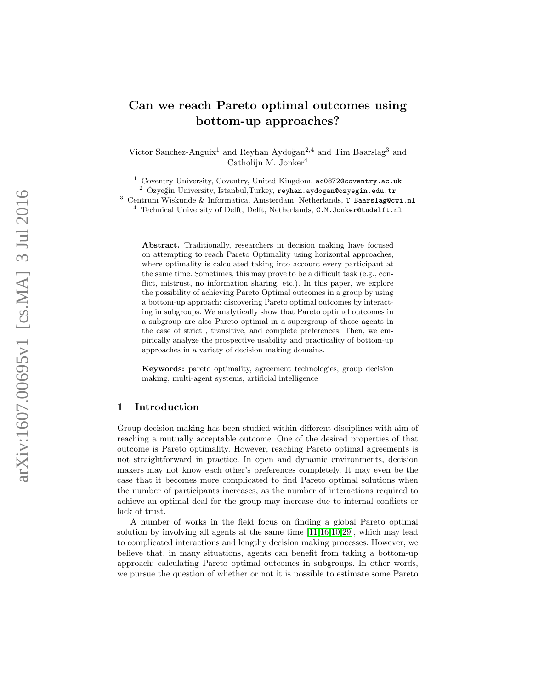# Can we reach Pareto optimal outcomes using bottom-up approaches?

Victor Sanchez-Anguix<sup>1</sup> and Reyhan Aydoğan<sup>2,4</sup> and Tim Baarslag<sup>3</sup> and Catholijn M. Jonker 4

<sup>1</sup> Coventry University, Coventry, United Kingdom, ac0872@coventry.ac.uk

 $2$  Özyeğin University, Istanbul,Turkey, reyhan.aydogan@ozyegin.edu.tr

<sup>3</sup> Centrum Wiskunde & Informatica, Amsterdam, Netherlands, T.Baarslag@cwi.nl <sup>4</sup> Technical University of Delft, Delft, Netherlands, C.M. Jonker@tudelft.nl

Abstract. Traditionally, researchers in decision making have focused on attempting to reach Pareto Optimality using horizontal approaches, where optimality is calculated taking into account every participant at the same time. Sometimes, this may prove to be a difficult task (e.g., conflict, mistrust, no information sharing, etc.). In this paper, we explore the possibility of achieving Pareto Optimal outcomes in a group by using a bottom-up approach: discovering Pareto optimal outcomes by interacting in subgroups. We analytically show that Pareto optimal outcomes in a subgroup are also Pareto optimal in a supergroup of those agents in the case of strict , transitive, and complete preferences. Then, we empirically analyze the prospective usability and practicality of bottom-up approaches in a variety of decision making domains.

Keywords: pareto optimality, agreement technologies, group decision making, multi-agent systems, artificial intelligence

## 1 Introduction

Group decision making has been studied within different disciplines with aim of reaching a mutually acceptable outcome. One of the desired properties of that outcome is Pareto optimality. However, reaching Pareto optimal agreements is not straightforward in practice. In open and dynamic environments, decision makers may not know each other's preferences completely. It may even be the case that it becomes more complicated to find Pareto optimal solutions when the number of participants increases, as the number of interactions required to achieve an optimal deal for the group may increase due to internal conflicts or lack of trust.

A number of works in the field focus on finding a global Pareto optimal solution by involving all agents at the same time  $[11,16,10,29]$  $[11,16,10,29]$  $[11,16,10,29]$  $[11,16,10,29]$ , which may lead to complicated interactions and lengthy decision making processes. However, we believe that, in many situations, agents can benefit from taking a bottom-up approach: calculating Pareto optimal outcomes in subgroups. In other words, we pursue the question of whether or not it is possible to estimate some Pareto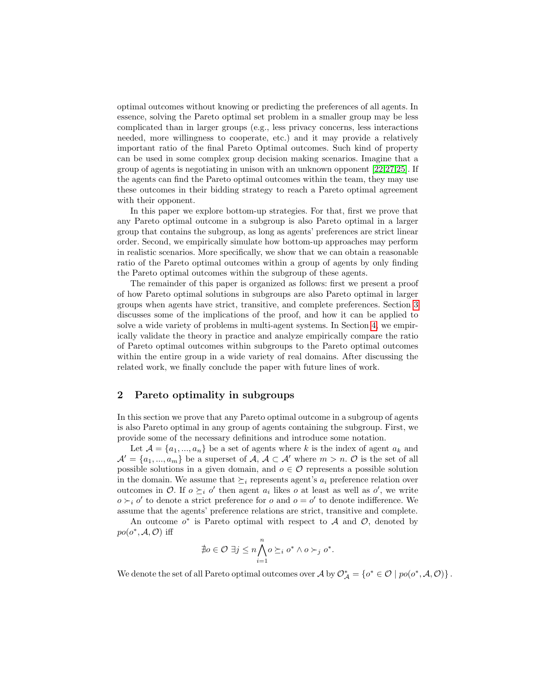optimal outcomes without knowing or predicting the preferences of all agents. In essence, solving the Pareto optimal set problem in a smaller group may be less complicated than in larger groups (e.g., less privacy concerns, less interactions needed, more willingness to cooperate, etc.) and it may provide a relatively important ratio of the final Pareto Optimal outcomes. Such kind of property can be used in some complex group decision making scenarios. Imagine that a group of agents is negotiating in unison with an unknown opponent [\[22,](#page-13-1)[27,](#page-13-2)[25\]](#page-13-3). If the agents can find the Pareto optimal outcomes within the team, they may use these outcomes in their bidding strategy to reach a Pareto optimal agreement with their opponent.

In this paper we explore bottom-up strategies. For that, first we prove that any Pareto optimal outcome in a subgroup is also Pareto optimal in a larger group that contains the subgroup, as long as agents' preferences are strict linear order. Second, we empirically simulate how bottom-up approaches may perform in realistic scenarios. More specifically, we show that we can obtain a reasonable ratio of the Pareto optimal outcomes within a group of agents by only finding the Pareto optimal outcomes within the subgroup of these agents.

The remainder of this paper is organized as follows: first we present a proof of how Pareto optimal solutions in subgroups are also Pareto optimal in larger groups when agents have strict, transitive, and complete preferences. Section [3](#page-2-0) discusses some of the implications of the proof, and how it can be applied to solve a wide variety of problems in multi-agent systems. In Section [4,](#page-3-0) we empirically validate the theory in practice and analyze empirically compare the ratio of Pareto optimal outcomes within subgroups to the Pareto optimal outcomes within the entire group in a wide variety of real domains. After discussing the related work, we finally conclude the paper with future lines of work.

## <span id="page-1-0"></span>2 Pareto optimality in subgroups

In this section we prove that any Pareto optimal outcome in a subgroup of agents is also Pareto optimal in any group of agents containing the subgroup. First, we provide some of the necessary definitions and introduce some notation.

Let  $A = \{a_1, ..., a_n\}$  be a set of agents where k is the index of agent  $a_k$  and  $\mathcal{A}' = \{a_1, ..., a_m\}$  be a superset of  $\mathcal{A}, \mathcal{A} \subset \mathcal{A}'$  where  $m > n$ .  $\mathcal{O}$  is the set of all possible solutions in a given domain, and  $o \in \mathcal{O}$  represents a possible solution in the domain. We assume that  $\succeq_i$  represents agent's  $a_i$  preference relation over outcomes in  $\mathcal{O}$ . If  $o \succeq_i o'$  then agent  $a_i$  likes  $o$  at least as well as  $o'$ , we write  $o \succ_i o'$  to denote a strict preference for o and  $o = o'$  to denote indifference. We assume that the agents' preference relations are strict, transitive and complete.

An outcome  $o^*$  is Pareto optimal with respect to  $A$  and  $O$ , denoted by  $po(o^*, A, O)$  iff

$$
\nexists o \in \mathcal{O} \exists j \leq n \bigwedge_{i=1}^{n} o \succeq_{i} o^{*} \wedge o \succ_{j} o^{*}.
$$

We denote the set of all Pareto optimal outcomes over  $\mathcal A$  by  $\mathcal O^*_{\mathcal A} = \{o^* \in \mathcal O \mid po(o^*, \mathcal A, \mathcal O)\}$ .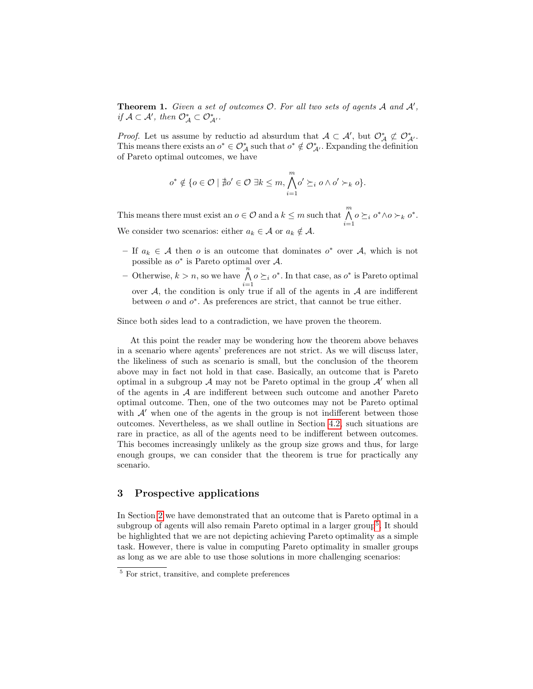**Theorem 1.** Given a set of outcomes  $O$ . For all two sets of agents  $A$  and  $A'$ , if  $\mathcal{A} \subset \mathcal{A}'$ , then  $\mathcal{O}_{\mathcal{A}}^* \subset \mathcal{O}_{\mathcal{A}'}^*$ .

*Proof.* Let us assume by reductio ad absurdum that  $A \subset \mathcal{A}'$ , but  $\mathcal{O}_{\mathcal{A}}^* \not\subset \mathcal{O}_{\mathcal{A}'}^*$ . This means there exists an  $o^* \in \mathcal{O}_{\mathcal{A}}^*$  such that  $o^* \notin \mathcal{O}_{\mathcal{A}'}^*$ . Expanding the definition of Pareto optimal outcomes, we have

$$
o^* \notin \{o \in \mathcal{O} \mid \nexists o' \in \mathcal{O} \exists k \leq m, \bigwedge_{i=1}^m o' \succeq_i o \wedge o' \succ_k o\}.
$$

This means there must exist an  $o \in \mathcal{O}$  and a  $k \leq m$  such that  $\bigwedge^m$  $\bigwedge_{i=1}^{\infty} 0 \succeq_i 0^* \wedge 0 \succ_k 0^*.$ We consider two scenarios: either  $a_k \in \mathcal{A}$  or  $a_k \notin \mathcal{A}$ .

- − If  $a_k \in \mathcal{A}$  then *o* is an outcome that dominates  $o^*$  over  $\mathcal{A}$ , which is not possible as  $o^*$  is Pareto optimal over  $\mathcal{A}$ .
- Otherwise,  $k > n$ , so we have  $\bigwedge^n$  $\bigwedge_{i=1}^{\infty} o \succeq_i o^*$ . In that case, as  $o^*$  is Pareto optimal over  $A$ , the condition is only true if all of the agents in  $A$  are indifferent between  $o$  and  $o^*$ . As preferences are strict, that cannot be true either.

Since both sides lead to a contradiction, we have proven the theorem.

At this point the reader may be wondering how the theorem above behaves in a scenario where agents' preferences are not strict. As we will discuss later, the likeliness of such as scenario is small, but the conclusion of the theorem above may in fact not hold in that case. Basically, an outcome that is Pareto optimal in a subgroup  $A$  may not be Pareto optimal in the group  $A'$  when all of the agents in A are indifferent between such outcome and another Pareto optimal outcome. Then, one of the two outcomes may not be Pareto optimal with  $\mathcal{A}'$  when one of the agents in the group is not indifferent between those outcomes. Nevertheless, as we shall outline in Section [4.2,](#page-6-0) such situations are rare in practice, as all of the agents need to be indifferent between outcomes. This becomes increasingly unlikely as the group size grows and thus, for large enough groups, we can consider that the theorem is true for practically any scenario.

## <span id="page-2-0"></span>3 Prospective applications

In Section [2](#page-1-0) we have demonstrated that an outcome that is Pareto optimal in a subgroup of agents will also remain Pareto optimal in a larger group<sup>[5](#page-2-1)</sup>. It should be highlighted that we are not depicting achieving Pareto optimality as a simple task. However, there is value in computing Pareto optimality in smaller groups as long as we are able to use those solutions in more challenging scenarios:

<span id="page-2-1"></span><sup>5</sup> For strict, transitive, and complete preferences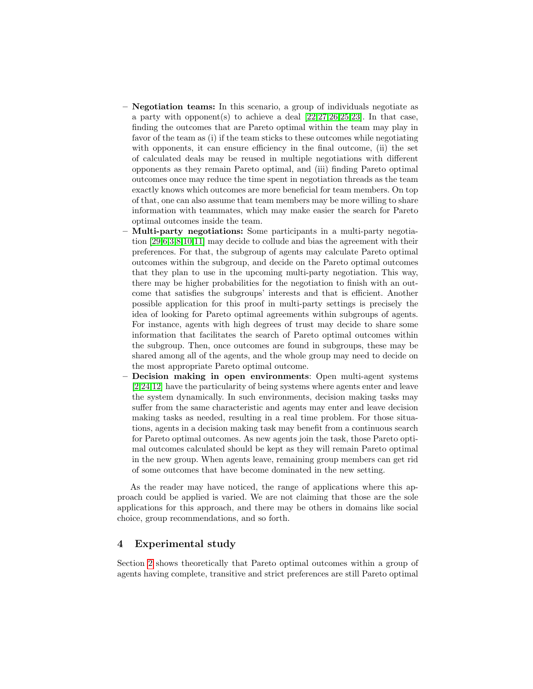- Negotiation teams: In this scenario, a group of individuals negotiate as a party with opponent(s) to achieve a deal  $[22,27,26,25,23]$  $[22,27,26,25,23]$  $[22,27,26,25,23]$  $[22,27,26,25,23]$  $[22,27,26,25,23]$ . In that case, finding the outcomes that are Pareto optimal within the team may play in favor of the team as (i) if the team sticks to these outcomes while negotiating with opponents, it can ensure efficiency in the final outcome, (ii) the set of calculated deals may be reused in multiple negotiations with different opponents as they remain Pareto optimal, and (iii) finding Pareto optimal outcomes once may reduce the time spent in negotiation threads as the team exactly knows which outcomes are more beneficial for team members. On top of that, one can also assume that team members may be more willing to share information with teammates, which may make easier the search for Pareto optimal outcomes inside the team.
- Multi-party negotiations: Some participants in a multi-party negotiation [\[29](#page-13-0)[,6](#page-12-3)[,3,](#page-12-4)[8](#page-12-5)[,10](#page-12-2)[,11\]](#page-12-0) may decide to collude and bias the agreement with their preferences. For that, the subgroup of agents may calculate Pareto optimal outcomes within the subgroup, and decide on the Pareto optimal outcomes that they plan to use in the upcoming multi-party negotiation. This way, there may be higher probabilities for the negotiation to finish with an outcome that satisfies the subgroups' interests and that is efficient. Another possible application for this proof in multi-party settings is precisely the idea of looking for Pareto optimal agreements within subgroups of agents. For instance, agents with high degrees of trust may decide to share some information that facilitates the search of Pareto optimal outcomes within the subgroup. Then, once outcomes are found in subgroups, these may be shared among all of the agents, and the whole group may need to decide on the most appropriate Pareto optimal outcome.
- Decision making in open environments: Open multi-agent systems [\[2](#page-12-6)[,24](#page-13-6)[,12\]](#page-12-7) have the particularity of being systems where agents enter and leave the system dynamically. In such environments, decision making tasks may suffer from the same characteristic and agents may enter and leave decision making tasks as needed, resulting in a real time problem. For those situations, agents in a decision making task may benefit from a continuous search for Pareto optimal outcomes. As new agents join the task, those Pareto optimal outcomes calculated should be kept as they will remain Pareto optimal in the new group. When agents leave, remaining group members can get rid of some outcomes that have become dominated in the new setting.

As the reader may have noticed, the range of applications where this approach could be applied is varied. We are not claiming that those are the sole applications for this approach, and there may be others in domains like social choice, group recommendations, and so forth.

## <span id="page-3-0"></span>4 Experimental study

Section [2](#page-1-0) shows theoretically that Pareto optimal outcomes within a group of agents having complete, transitive and strict preferences are still Pareto optimal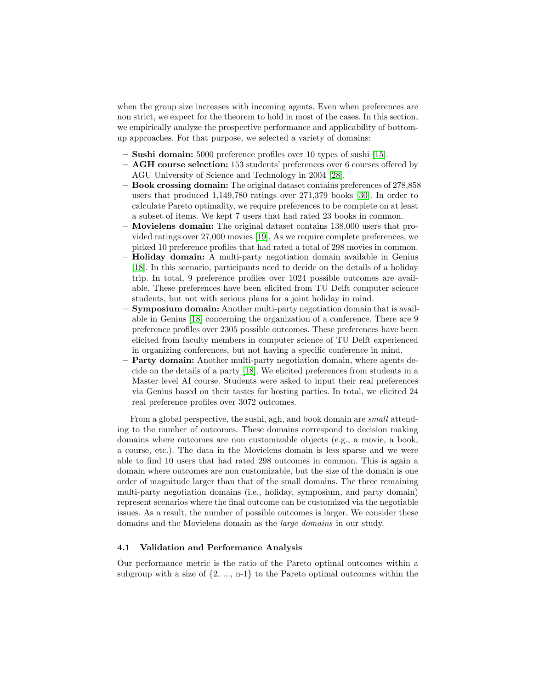when the group size increases with incoming agents. Even when preferences are non strict, we expect for the theorem to hold in most of the cases. In this section, we empirically analyze the prospective performance and applicability of bottomup approaches. For that purpose, we selected a variety of domains:

- Sushi domain: 5000 preference profiles over 10 types of sushi [\[15\]](#page-12-8).
- AGH course selection: 153 students' preferences over 6 courses offered by AGU University of Science and Technology in 2004 [\[28\]](#page-13-7).
- Book crossing domain: The original dataset contains preferences of 278,858 users that produced 1,149,780 ratings over 271,379 books [\[30\]](#page-13-8). In order to calculate Pareto optimality, we require preferences to be complete on at least a subset of items. We kept 7 users that had rated 23 books in common.
- Movielens domain: The original dataset contains 138,000 users that provided ratings over 27,000 movies [\[19\]](#page-13-9). As we require complete preferences, we picked 10 preference profiles that had rated a total of 298 movies in common.
- Holiday domain: A multi-party negotiation domain available in Genius [\[18\]](#page-13-10). In this scenario, participants need to decide on the details of a holiday trip. In total, 9 preference profiles over 1024 possible outcomes are available. These preferences have been elicited from TU Delft computer science students, but not with serious plans for a joint holiday in mind.
- Symposium domain: Another multi-party negotiation domain that is available in Genius [\[18\]](#page-13-10) concerning the organization of a conference. There are 9 preference profiles over 2305 possible outcomes. These preferences have been elicited from faculty members in computer science of TU Delft experienced in organizing conferences, but not having a specific conference in mind.
- Party domain: Another multi-party negotiation domain, where agents decide on the details of a party [\[18\]](#page-13-10). We elicited preferences from students in a Master level AI course. Students were asked to input their real preferences via Genius based on their tastes for hosting parties. In total, we elicited 24 real preference profiles over 3072 outcomes.

From a global perspective, the sushi, agh, and book domain are small attending to the number of outcomes. These domains correspond to decision making domains where outcomes are non customizable objects (e.g., a movie, a book, a course, etc.). The data in the Movielens domain is less sparse and we were able to find 10 users that had rated 298 outcomes in common. This is again a domain where outcomes are non customizable, but the size of the domain is one order of magnitude larger than that of the small domains. The three remaining multi-party negotiation domains (i.e., holiday, symposium, and party domain) represent scenarios where the final outcome can be customized via the negotiable issues. As a result, the number of possible outcomes is larger. We consider these domains and the Movielens domain as the large domains in our study.

#### 4.1 Validation and Performance Analysis

Our performance metric is the ratio of the Pareto optimal outcomes within a subgroup with a size of  $\{2, ..., n-1\}$  to the Pareto optimal outcomes within the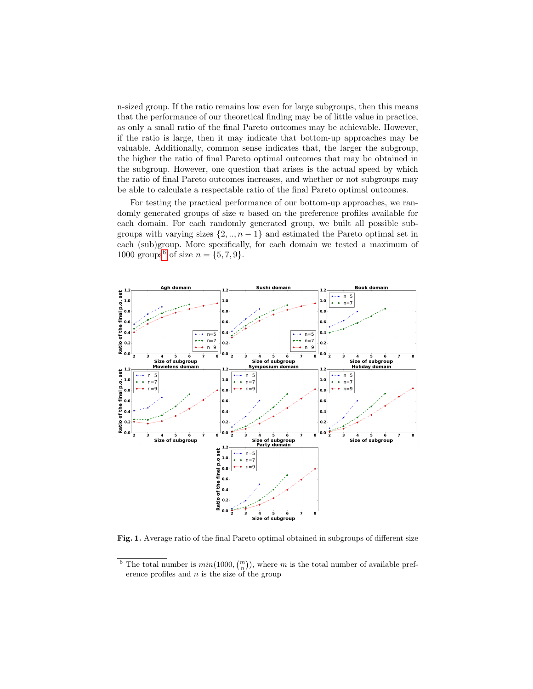n-sized group. If the ratio remains low even for large subgroups, then this means that the performance of our theoretical finding may be of little value in practice, as only a small ratio of the final Pareto outcomes may be achievable. However, if the ratio is large, then it may indicate that bottom-up approaches may be valuable. Additionally, common sense indicates that, the larger the subgroup, the higher the ratio of final Pareto optimal outcomes that may be obtained in the subgroup. However, one question that arises is the actual speed by which the ratio of final Pareto outcomes increases, and whether or not subgroups may be able to calculate a respectable ratio of the final Pareto optimal outcomes.

For testing the practical performance of our bottom-up approaches, we randomly generated groups of size n based on the preference profiles available for each domain. For each randomly generated group, we built all possible subgroups with varying sizes  $\{2, ..., n-1\}$  and estimated the Pareto optimal set in each (sub)group. More specifically, for each domain we tested a maximum of 1000 groups<sup>[6](#page-5-0)</sup> of size  $n = \{5, 7, 9\}.$ 



<span id="page-5-1"></span>Fig. 1. Average ratio of the final Pareto optimal obtained in subgroups of different size

<span id="page-5-0"></span><sup>&</sup>lt;sup>6</sup> The total number is  $min(1000, \binom{m}{n})$ , where m is the total number of available preference profiles and  $n$  is the size of the group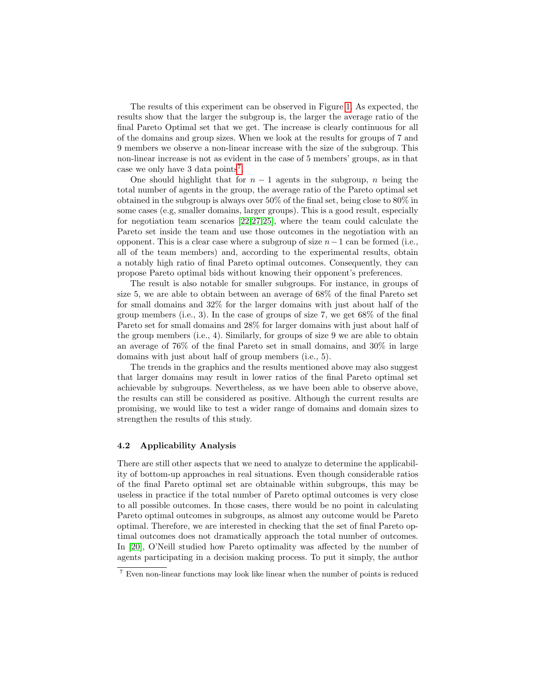The results of this experiment can be observed in Figure [1.](#page-5-1) As expected, the results show that the larger the subgroup is, the larger the average ratio of the final Pareto Optimal set that we get. The increase is clearly continuous for all of the domains and group sizes. When we look at the results for groups of 7 and 9 members we observe a non-linear increase with the size of the subgroup. This non-linear increase is not as evident in the case of 5 members' groups, as in that case we only have 3 data points<sup>[7](#page-6-1)</sup>.

One should highlight that for  $n-1$  agents in the subgroup, n being the total number of agents in the group, the average ratio of the Pareto optimal set obtained in the subgroup is always over 50% of the final set, being close to 80% in some cases (e.g, smaller domains, larger groups). This is a good result, especially for negotiation team scenarios [\[22,](#page-13-1)[27,](#page-13-2)[25\]](#page-13-3), where the team could calculate the Pareto set inside the team and use those outcomes in the negotiation with an opponent. This is a clear case where a subgroup of size  $n-1$  can be formed (i.e., all of the team members) and, according to the experimental results, obtain a notably high ratio of final Pareto optimal outcomes. Consequently, they can propose Pareto optimal bids without knowing their opponent's preferences.

The result is also notable for smaller subgroups. For instance, in groups of size 5, we are able to obtain between an average of 68% of the final Pareto set for small domains and 32% for the larger domains with just about half of the group members (i.e., 3). In the case of groups of size 7, we get 68% of the final Pareto set for small domains and 28% for larger domains with just about half of the group members (i.e., 4). Similarly, for groups of size 9 we are able to obtain an average of 76% of the final Pareto set in small domains, and 30% in large domains with just about half of group members (i.e., 5).

The trends in the graphics and the results mentioned above may also suggest that larger domains may result in lower ratios of the final Pareto optimal set achievable by subgroups. Nevertheless, as we have been able to observe above, the results can still be considered as positive. Although the current results are promising, we would like to test a wider range of domains and domain sizes to strengthen the results of this study.

## <span id="page-6-0"></span>4.2 Applicability Analysis

There are still other aspects that we need to analyze to determine the applicability of bottom-up approaches in real situations. Even though considerable ratios of the final Pareto optimal set are obtainable within subgroups, this may be useless in practice if the total number of Pareto optimal outcomes is very close to all possible outcomes. In those cases, there would be no point in calculating Pareto optimal outcomes in subgroups, as almost any outcome would be Pareto optimal. Therefore, we are interested in checking that the set of final Pareto optimal outcomes does not dramatically approach the total number of outcomes. In [\[20\]](#page-13-11), O'Neill studied how Pareto optimality was affected by the number of agents participating in a decision making process. To put it simply, the author

<span id="page-6-1"></span><sup>7</sup> Even non-linear functions may look like linear when the number of points is reduced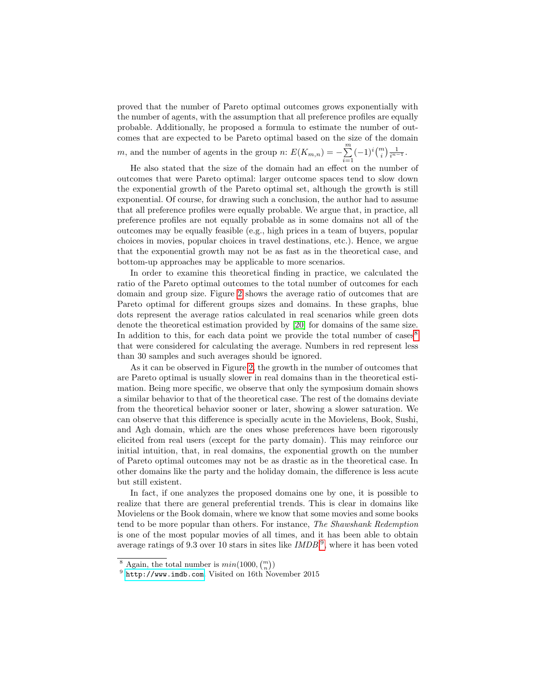proved that the number of Pareto optimal outcomes grows exponentially with the number of agents, with the assumption that all preference profiles are equally probable. Additionally, he proposed a formula to estimate the number of outcomes that are expected to be Pareto optimal based on the size of the domain

m, and the number of agents in the group n:  $E(K_{m,n}) = -\sum_{n=1}^{m}$ 

 $i=1$  $(-1)^i \binom{m}{i} \frac{1}{i^{n-1}}$ . He also stated that the size of the domain had an effect on the number of outcomes that were Pareto optimal: larger outcome spaces tend to slow down the exponential growth of the Pareto optimal set, although the growth is still exponential. Of course, for drawing such a conclusion, the author had to assume that all preference profiles were equally probable. We argue that, in practice, all preference profiles are not equally probable as in some domains not all of the outcomes may be equally feasible (e.g., high prices in a team of buyers, popular choices in movies, popular choices in travel destinations, etc.). Hence, we argue that the exponential growth may not be as fast as in the theoretical case, and bottom-up approaches may be applicable to more scenarios.

In order to examine this theoretical finding in practice, we calculated the ratio of the Pareto optimal outcomes to the total number of outcomes for each domain and group size. Figure [2](#page-8-0) shows the average ratio of outcomes that are Pareto optimal for different groups sizes and domains. In these graphs, blue dots represent the average ratios calculated in real scenarios while green dots denote the theoretical estimation provided by [\[20\]](#page-13-11) for domains of the same size. In addition to this, for each data point we provide the total number of cases<sup>[8](#page-7-0)</sup> that were considered for calculating the average. Numbers in red represent less than 30 samples and such averages should be ignored.

As it can be observed in Figure [2,](#page-8-0) the growth in the number of outcomes that are Pareto optimal is usually slower in real domains than in the theoretical estimation. Being more specific, we observe that only the symposium domain shows a similar behavior to that of the theoretical case. The rest of the domains deviate from the theoretical behavior sooner or later, showing a slower saturation. We can observe that this difference is specially acute in the Movielens, Book, Sushi, and Agh domain, which are the ones whose preferences have been rigorously elicited from real users (except for the party domain). This may reinforce our initial intuition, that, in real domains, the exponential growth on the number of Pareto optimal outcomes may not be as drastic as in the theoretical case. In other domains like the party and the holiday domain, the difference is less acute but still existent.

In fact, if one analyzes the proposed domains one by one, it is possible to realize that there are general preferential trends. This is clear in domains like Movielens or the Book domain, where we know that some movies and some books tend to be more popular than others. For instance, The Shawshank Redemption is one of the most popular movies of all times, and it has been able to obtain average ratings of [9](#page-7-1).3 over 10 stars in sites like  $IMDB<sup>9</sup>$ , where it has been voted

<span id="page-7-0"></span><sup>&</sup>lt;sup>8</sup> Again, the total number is  $min(1000, \binom{m}{n})$ 

<span id="page-7-1"></span><sup>&</sup>lt;sup>9</sup> <http://www.imdb.com>. Visited on 16th November 2015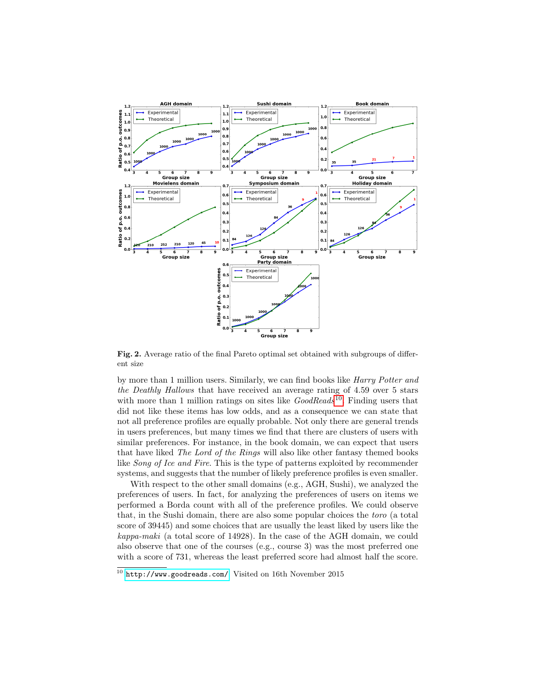

<span id="page-8-0"></span>Fig. 2. Average ratio of the final Pareto optimal set obtained with subgroups of different size

by more than 1 million users. Similarly, we can find books like Harry Potter and the Deathly Hallows that have received an average rating of 4.59 over 5 stars with more than 1 million ratings on sites like  $GoodReads^{10}$  $GoodReads^{10}$  $GoodReads^{10}$ . Finding users that did not like these items has low odds, and as a consequence we can state that not all preference profiles are equally probable. Not only there are general trends in users preferences, but many times we find that there are clusters of users with similar preferences. For instance, in the book domain, we can expect that users that have liked The Lord of the Rings will also like other fantasy themed books like Song of Ice and Fire. This is the type of patterns exploited by recommender systems, and suggests that the number of likely preference profiles is even smaller.

With respect to the other small domains (e.g., AGH, Sushi), we analyzed the preferences of users. In fact, for analyzing the preferences of users on items we performed a Borda count with all of the preference profiles. We could observe that, in the Sushi domain, there are also some popular choices the toro (a total score of 39445) and some choices that are usually the least liked by users like the kappa-maki (a total score of 14928). In the case of the AGH domain, we could also observe that one of the courses (e.g., course 3) was the most preferred one with a score of 731, whereas the least preferred score had almost half the score.

<span id="page-8-1"></span> $\frac{10}{10}$  <http://www.goodreads.com/>. Visited on 16th November 2015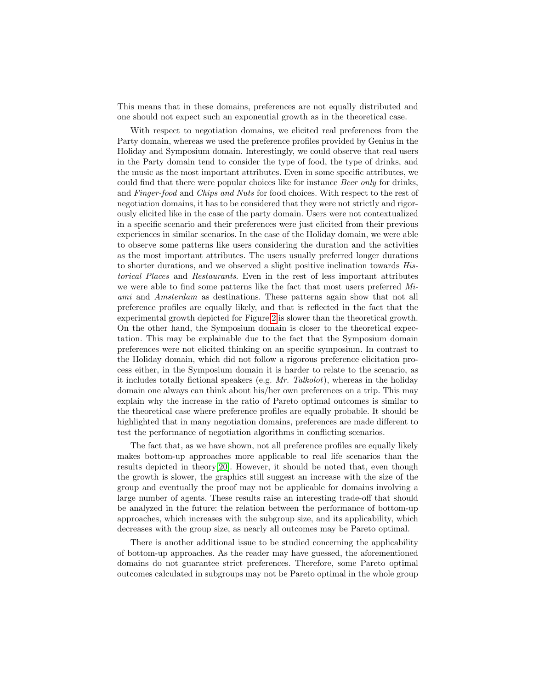This means that in these domains, preferences are not equally distributed and one should not expect such an exponential growth as in the theoretical case.

With respect to negotiation domains, we elicited real preferences from the Party domain, whereas we used the preference profiles provided by Genius in the Holiday and Symposium domain. Interestingly, we could observe that real users in the Party domain tend to consider the type of food, the type of drinks, and the music as the most important attributes. Even in some specific attributes, we could find that there were popular choices like for instance Beer only for drinks, and Finger-food and Chips and Nuts for food choices. With respect to the rest of negotiation domains, it has to be considered that they were not strictly and rigorously elicited like in the case of the party domain. Users were not contextualized in a specific scenario and their preferences were just elicited from their previous experiences in similar scenarios. In the case of the Holiday domain, we were able to observe some patterns like users considering the duration and the activities as the most important attributes. The users usually preferred longer durations to shorter durations, and we observed a slight positive inclination towards Historical Places and Restaurants. Even in the rest of less important attributes we were able to find some patterns like the fact that most users preferred Miami and Amsterdam as destinations. These patterns again show that not all preference profiles are equally likely, and that is reflected in the fact that the experimental growth depicted for Figure [2](#page-8-0) is slower than the theoretical growth. On the other hand, the Symposium domain is closer to the theoretical expectation. This may be explainable due to the fact that the Symposium domain preferences were not elicited thinking on an specific symposium. In contrast to the Holiday domain, which did not follow a rigorous preference elicitation process either, in the Symposium domain it is harder to relate to the scenario, as it includes totally fictional speakers (e.g.  $Mr.$  Talkolot), whereas in the holiday domain one always can think about his/her own preferences on a trip. This may explain why the increase in the ratio of Pareto optimal outcomes is similar to the theoretical case where preference profiles are equally probable. It should be highlighted that in many negotiation domains, preferences are made different to test the performance of negotiation algorithms in conflicting scenarios.

The fact that, as we have shown, not all preference profiles are equally likely makes bottom-up approaches more applicable to real life scenarios than the results depicted in theory[\[20\]](#page-13-11). However, it should be noted that, even though the growth is slower, the graphics still suggest an increase with the size of the group and eventually the proof may not be applicable for domains involving a large number of agents. These results raise an interesting trade-off that should be analyzed in the future: the relation between the performance of bottom-up approaches, which increases with the subgroup size, and its applicability, which decreases with the group size, as nearly all outcomes may be Pareto optimal.

There is another additional issue to be studied concerning the applicability of bottom-up approaches. As the reader may have guessed, the aforementioned domains do not guarantee strict preferences. Therefore, some Pareto optimal outcomes calculated in subgroups may not be Pareto optimal in the whole group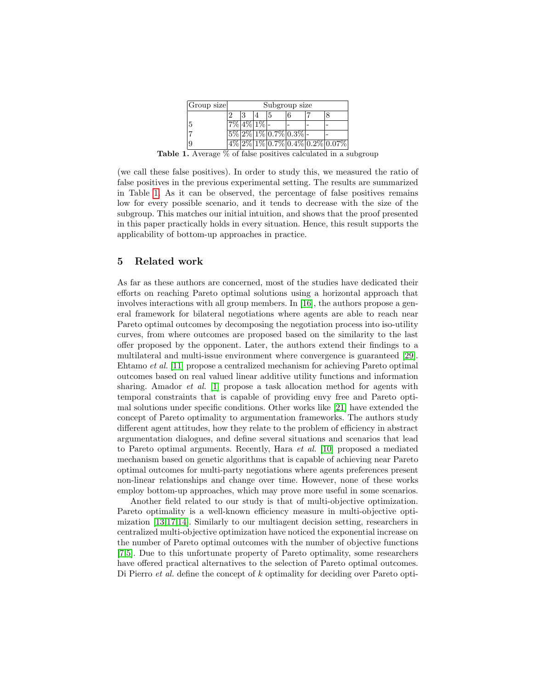| Group size | Subgroup size |                |  |  |                              |  |                                                                                  |
|------------|---------------|----------------|--|--|------------------------------|--|----------------------------------------------------------------------------------|
|            |               |                |  |  |                              |  |                                                                                  |
| 5          |               | $7\%$ 4% $1\%$ |  |  |                              |  |                                                                                  |
|            |               |                |  |  | $5\%$  2\% 1\% 0.7\% 0.3\% - |  |                                                                                  |
|            |               |                |  |  |                              |  | $4\sqrt[6]{2\% \times 1\% \times 0.7\% \times 0.4\% \times 0.2\% \times 0.07\%}$ |

<span id="page-10-0"></span>Table 1. Average % of false positives calculated in a subgroup

(we call these false positives). In order to study this, we measured the ratio of false positives in the previous experimental setting. The results are summarized in Table [1.](#page-10-0) As it can be observed, the percentage of false positives remains low for every possible scenario, and it tends to decrease with the size of the subgroup. This matches our initial intuition, and shows that the proof presented in this paper practically holds in every situation. Hence, this result supports the applicability of bottom-up approaches in practice.

## 5 Related work

As far as these authors are concerned, most of the studies have dedicated their efforts on reaching Pareto optimal solutions using a horizontal approach that involves interactions with all group members. In [\[16\]](#page-12-1), the authors propose a general framework for bilateral negotiations where agents are able to reach near Pareto optimal outcomes by decomposing the negotiation process into iso-utility curves, from where outcomes are proposed based on the similarity to the last offer proposed by the opponent. Later, the authors extend their findings to a multilateral and multi-issue environment where convergence is guaranteed [\[29\]](#page-13-0). Ehtamo et al. [\[11\]](#page-12-0) propose a centralized mechanism for achieving Pareto optimal outcomes based on real valued linear additive utility functions and information sharing. Amador *et al.* [\[1\]](#page-12-9) propose a task allocation method for agents with temporal constraints that is capable of providing envy free and Pareto optimal solutions under specific conditions. Other works like [\[21\]](#page-13-12) have extended the concept of Pareto optimality to argumentation frameworks. The authors study different agent attitudes, how they relate to the problem of efficiency in abstract argumentation dialogues, and define several situations and scenarios that lead to Pareto optimal arguments. Recently, Hara et al. [\[10\]](#page-12-2) proposed a mediated mechanism based on genetic algorithms that is capable of achieving near Pareto optimal outcomes for multi-party negotiations where agents preferences present non-linear relationships and change over time. However, none of these works employ bottom-up approaches, which may prove more useful in some scenarios.

Another field related to our study is that of multi-objective optimization. Pareto optimality is a well-known efficiency measure in multi-objective optimization [\[13,](#page-12-10)[17,](#page-13-13)[14\]](#page-12-11). Similarly to our multiagent decision setting, researchers in centralized multi-objective optimization have noticed the exponential increase on the number of Pareto optimal outcomes with the number of objective functions [\[7,](#page-12-12)[5\]](#page-12-13). Due to this unfortunate property of Pareto optimality, some researchers have offered practical alternatives to the selection of Pareto optimal outcomes. Di Pierro *et al.* define the concept of k optimality for deciding over Pareto opti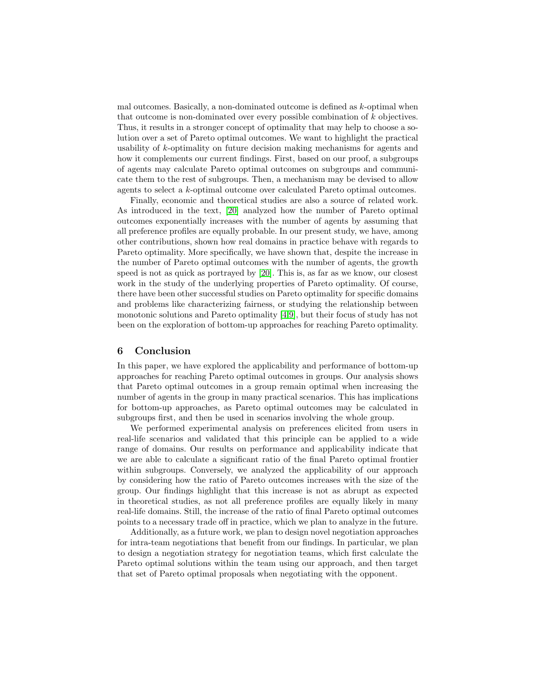mal outcomes. Basically, a non-dominated outcome is defined as k-optimal when that outcome is non-dominated over every possible combination of k objectives. Thus, it results in a stronger concept of optimality that may help to choose a solution over a set of Pareto optimal outcomes. We want to highlight the practical usability of k-optimality on future decision making mechanisms for agents and how it complements our current findings. First, based on our proof, a subgroups of agents may calculate Pareto optimal outcomes on subgroups and communicate them to the rest of subgroups. Then, a mechanism may be devised to allow agents to select a k-optimal outcome over calculated Pareto optimal outcomes.

Finally, economic and theoretical studies are also a source of related work. As introduced in the text, [\[20\]](#page-13-11) analyzed how the number of Pareto optimal outcomes exponentially increases with the number of agents by assuming that all preference profiles are equally probable. In our present study, we have, among other contributions, shown how real domains in practice behave with regards to Pareto optimality. More specifically, we have shown that, despite the increase in the number of Pareto optimal outcomes with the number of agents, the growth speed is not as quick as portrayed by [\[20\]](#page-13-11). This is, as far as we know, our closest work in the study of the underlying properties of Pareto optimality. Of course, there have been other successful studies on Pareto optimality for specific domains and problems like characterizing fairness, or studying the relationship between monotonic solutions and Pareto optimality [\[4](#page-12-14)[,9\]](#page-12-15), but their focus of study has not been on the exploration of bottom-up approaches for reaching Pareto optimality.

## 6 Conclusion

In this paper, we have explored the applicability and performance of bottom-up approaches for reaching Pareto optimal outcomes in groups. Our analysis shows that Pareto optimal outcomes in a group remain optimal when increasing the number of agents in the group in many practical scenarios. This has implications for bottom-up approaches, as Pareto optimal outcomes may be calculated in subgroups first, and then be used in scenarios involving the whole group.

We performed experimental analysis on preferences elicited from users in real-life scenarios and validated that this principle can be applied to a wide range of domains. Our results on performance and applicability indicate that we are able to calculate a significant ratio of the final Pareto optimal frontier within subgroups. Conversely, we analyzed the applicability of our approach by considering how the ratio of Pareto outcomes increases with the size of the group. Our findings highlight that this increase is not as abrupt as expected in theoretical studies, as not all preference profiles are equally likely in many real-life domains. Still, the increase of the ratio of final Pareto optimal outcomes points to a necessary trade off in practice, which we plan to analyze in the future.

Additionally, as a future work, we plan to design novel negotiation approaches for intra-team negotiations that benefit from our findings. In particular, we plan to design a negotiation strategy for negotiation teams, which first calculate the Pareto optimal solutions within the team using our approach, and then target that set of Pareto optimal proposals when negotiating with the opponent.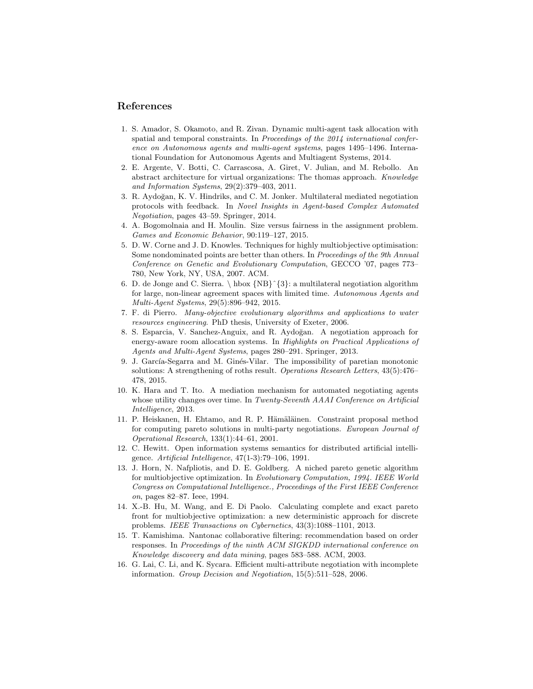## References

- <span id="page-12-9"></span>1. S. Amador, S. Okamoto, and R. Zivan. Dynamic multi-agent task allocation with spatial and temporal constraints. In Proceedings of the 2014 international conference on Autonomous agents and multi-agent systems, pages 1495–1496. International Foundation for Autonomous Agents and Multiagent Systems, 2014.
- <span id="page-12-6"></span>2. E. Argente, V. Botti, C. Carrascosa, A. Giret, V. Julian, and M. Rebollo. An abstract architecture for virtual organizations: The thomas approach. Knowledge and Information Systems, 29(2):379–403, 2011.
- <span id="page-12-4"></span>3. R. Aydoğan, K. V. Hindriks, and C. M. Jonker. Multilateral mediated negotiation protocols with feedback. In Novel Insights in Agent-based Complex Automated Negotiation, pages 43–59. Springer, 2014.
- <span id="page-12-14"></span>4. A. Bogomolnaia and H. Moulin. Size versus fairness in the assignment problem. Games and Economic Behavior, 90:119–127, 2015.
- <span id="page-12-13"></span>5. D. W. Corne and J. D. Knowles. Techniques for highly multiobjective optimisation: Some nondominated points are better than others. In Proceedings of the 9th Annual Conference on Genetic and Evolutionary Computation, GECCO '07, pages 773– 780, New York, NY, USA, 2007. ACM.
- <span id="page-12-3"></span>6. D. de Jonge and C. Sierra. \ hbox  $\{NB\}^{\{3\}}$ : a multilateral negotiation algorithm for large, non-linear agreement spaces with limited time. Autonomous Agents and Multi-Agent Systems, 29(5):896–942, 2015.
- <span id="page-12-12"></span>7. F. di Pierro. Many-objective evolutionary algorithms and applications to water resources engineering. PhD thesis, University of Exeter, 2006.
- <span id="page-12-5"></span>8. S. Esparcia, V. Sanchez-Anguix, and R. Aydoğan. A negotiation approach for energy-aware room allocation systems. In Highlights on Practical Applications of Agents and Multi-Agent Systems, pages 280–291. Springer, 2013.
- <span id="page-12-15"></span>9. J. García-Segarra and M. Ginés-Vilar. The impossibility of paretian monotonic solutions: A strengthening of roths result. Operations Research Letters, 43(5):476– 478, 2015.
- <span id="page-12-2"></span>10. K. Hara and T. Ito. A mediation mechanism for automated negotiating agents whose utility changes over time. In Twenty-Seventh AAAI Conference on Artificial Intelligence, 2013.
- <span id="page-12-0"></span>11. P. Heiskanen, H. Ehtamo, and R. P. Hämäläinen. Constraint proposal method for computing pareto solutions in multi-party negotiations. European Journal of Operational Research, 133(1):44–61, 2001.
- <span id="page-12-7"></span>12. C. Hewitt. Open information systems semantics for distributed artificial intelligence. Artificial Intelligence, 47(1-3):79–106, 1991.
- <span id="page-12-10"></span>13. J. Horn, N. Nafpliotis, and D. E. Goldberg. A niched pareto genetic algorithm for multiobjective optimization. In Evolutionary Computation, 1994. IEEE World Congress on Computational Intelligence., Proceedings of the First IEEE Conference on, pages 82–87. Ieee, 1994.
- <span id="page-12-11"></span>14. X.-B. Hu, M. Wang, and E. Di Paolo. Calculating complete and exact pareto front for multiobjective optimization: a new deterministic approach for discrete problems. IEEE Transactions on Cybernetics, 43(3):1088–1101, 2013.
- <span id="page-12-8"></span>15. T. Kamishima. Nantonac collaborative filtering: recommendation based on order responses. In Proceedings of the ninth ACM SIGKDD international conference on Knowledge discovery and data mining, pages 583–588. ACM, 2003.
- <span id="page-12-1"></span>16. G. Lai, C. Li, and K. Sycara. Efficient multi-attribute negotiation with incomplete information. Group Decision and Negotiation, 15(5):511–528, 2006.